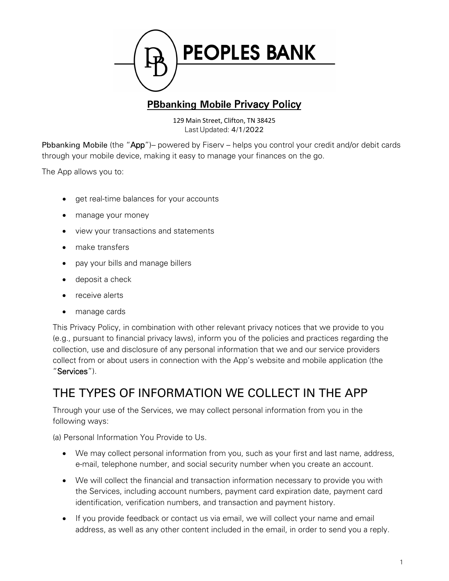

#### **PBbanking Mobile** Privacy Policy

129 Main Street, Clifton, TN 38425 Last Updated: 4/1/2022

Pbbanking Mobile (the "App")– powered by Fiserv – helps you control your credit and/or debit cards through your mobile device, making it easy to manage your finances on the go.

The App allows you to:

- get real-time balances for your accounts
- manage your money
- view your transactions and statements
- make transfers
- pay your bills and manage billers
- deposit a check
- receive alerts
- manage cards

This Privacy Policy, in combination with other relevant privacy notices that we provide to you (e.g., pursuant to financial privacy laws), inform you of the policies and practices regarding the collection, use and disclosure of any personal information that we and our service providers collect from or about users in connection with the App's website and mobile application (the "Services").

#### THE TYPES OF INFORMATION WE COLLECT IN THE APP

Through your use of the Services, we may collect personal information from you in the following ways:

(a) Personal Information You Provide to Us.

- We may collect personal information from you, such as your first and last name, address, e-mail, telephone number, and social security number when you create an account.
- We will collect the financial and transaction information necessary to provide you with the Services, including account numbers, payment card expiration date, payment card identification, verification numbers, and transaction and payment history.
- If you provide feedback or contact us via email, we will collect your name and email address, as well as any other content included in the email, in order to send you a reply.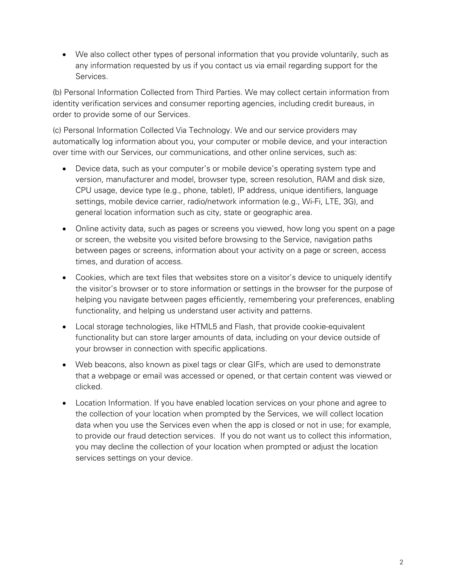• We also collect other types of personal information that you provide voluntarily, such as any information requested by us if you contact us via email regarding support for the Services.

(b) Personal Information Collected from Third Parties. We may collect certain information from identity verification services and consumer reporting agencies, including credit bureaus, in order to provide some of our Services.

(c) Personal Information Collected Via Technology. We and our service providers may automatically log information about you, your computer or mobile device, and your interaction over time with our Services, our communications, and other online services, such as:

- Device data, such as your computer's or mobile device's operating system type and version, manufacturer and model, browser type, screen resolution, RAM and disk size, CPU usage, device type (e.g., phone, tablet), IP address, unique identifiers, language settings, mobile device carrier, radio/network information (e.g., Wi-Fi, LTE, 3G), and general location information such as city, state or geographic area.
- Online activity data, such as pages or screens you viewed, how long you spent on a page or screen, the website you visited before browsing to the Service, navigation paths between pages or screens, information about your activity on a page or screen, access times, and duration of access.
- Cookies, which are text files that websites store on a visitor's device to uniquely identify the visitor's browser or to store information or settings in the browser for the purpose of helping you navigate between pages efficiently, remembering your preferences, enabling functionality, and helping us understand user activity and patterns.
- Local storage technologies, like HTML5 and Flash, that provide cookie-equivalent functionality but can store larger amounts of data, including on your device outside of your browser in connection with specific applications.
- Web beacons, also known as pixel tags or clear GIFs, which are used to demonstrate that a webpage or email was accessed or opened, or that certain content was viewed or clicked.
- Location Information. If you have enabled location services on your phone and agree to the collection of your location when prompted by the Services, we will collect location data when you use the Services even when the app is closed or not in use; for example, to provide our fraud detection services. If you do not want us to collect this information, you may decline the collection of your location when prompted or adjust the location services settings on your device.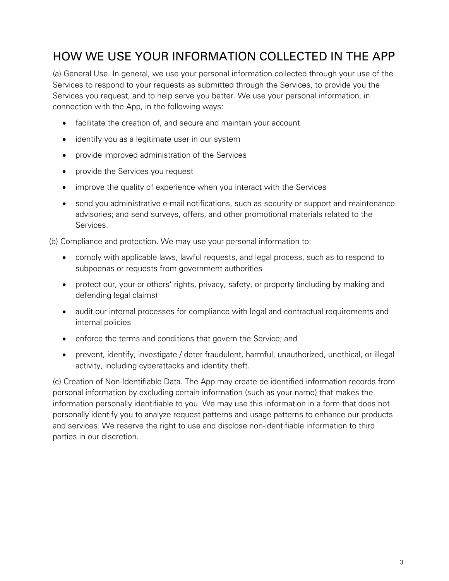#### HOW WE USE YOUR INFORMATION COLLECTED IN THE APP

(a) General Use. In general, we use your personal information collected through your use of the Services to respond to your requests as submitted through the Services, to provide you the Services you request, and to help serve you better. We use your personal information, in connection with the App, in the following ways:

- facilitate the creation of, and secure and maintain your account
- identify you as a legitimate user in our system
- provide improved administration of the Services
- provide the Services you request
- improve the quality of experience when you interact with the Services
- send you administrative e-mail notifications, such as security or support and maintenance advisories; and send surveys, offers, and other promotional materials related to the Services.

(b) Compliance and protection. We may use your personal information to:

- comply with applicable laws, lawful requests, and legal process, such as to respond to subpoenas or requests from government authorities
- protect our, your or others' rights, privacy, safety, or property (including by making and defending legal claims)
- audit our internal processes for compliance with legal and contractual requirements and internal policies
- enforce the terms and conditions that govern the Service; and
- prevent, identify, investigate / deter fraudulent, harmful, unauthorized, unethical, or illegal activity, including cyberattacks and identity theft.

(c) Creation of Non-Identifiable Data. The App may create de-identified information records from personal information by excluding certain information (such as your name) that makes the information personally identifiable to you. We may use this information in a form that does not personally identify you to analyze request patterns and usage patterns to enhance our products and services. We reserve the right to use and disclose non-identifiable information to third parties in our discretion.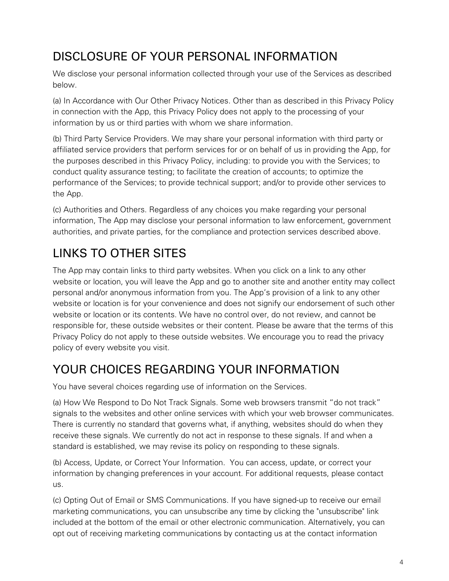### DISCLOSURE OF YOUR PERSONAL INFORMATION

We disclose your personal information collected through your use of the Services as described below.

(a) In Accordance with Our Other Privacy Notices. Other than as described in this Privacy Policy in connection with the App, this Privacy Policy does not apply to the processing of your information by us or third parties with whom we share information.

(b) Third Party Service Providers. We may share your personal information with third party or affiliated service providers that perform services for or on behalf of us in providing the App, for the purposes described in this Privacy Policy, including: to provide you with the Services; to conduct quality assurance testing; to facilitate the creation of accounts; to optimize the performance of the Services; to provide technical support; and/or to provide other services to the App.

(c) Authorities and Others. Regardless of any choices you make regarding your personal information, The App may disclose your personal information to law enforcement, government authorities, and private parties, for the compliance and protection services described above.

## LINKS TO OTHER SITES

The App may contain links to third party websites. When you click on a link to any other website or location, you will leave the App and go to another site and another entity may collect personal and/or anonymous information from you. The App's provision of a link to any other website or location is for your convenience and does not signify our endorsement of such other website or location or its contents. We have no control over, do not review, and cannot be responsible for, these outside websites or their content. Please be aware that the terms of this Privacy Policy do not apply to these outside websites. We encourage you to read the privacy policy of every website you visit.

#### YOUR CHOICES REGARDING YOUR INFORMATION

You have several choices regarding use of information on the Services.

(a) How We Respond to Do Not Track Signals. Some web browsers transmit "do not track" signals to the websites and other online services with which your web browser communicates. There is currently no standard that governs what, if anything, websites should do when they receive these signals. We currently do not act in response to these signals. If and when a standard is established, we may revise its policy on responding to these signals.

(b) Access, Update, or Correct Your Information. You can access, update, or correct your information by changing preferences in your account. For additional requests, please contact us.

(c) Opting Out of Email or SMS Communications. If you have signed-up to receive our email marketing communications, you can unsubscribe any time by clicking the "unsubscribe" link included at the bottom of the email or other electronic communication. Alternatively, you can opt out of receiving marketing communications by contacting us at the contact information